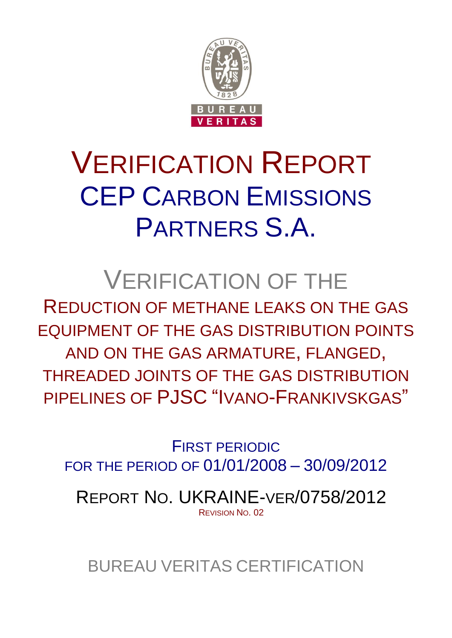

# VERIFICATION REPORT CEP CARBON EMISSIONS PARTNERS S.A.

# VERIFICATION OF THE

REDUCTION OF METHANE LEAKS ON THE GAS EQUIPMENT OF THE GAS DISTRIBUTION POINTS AND ON THE GAS ARMATURE, FLANGED, THREADED JOINTS OF THE GAS DISTRIBUTION PIPELINES OF PJSC "IVANO-FRANKIVSKGAS"

FIRST PERIODIC FOR THE PERIOD OF 01/01/2008 – 30/09/2012

REPORT NO. UKRAINE-VER/0758/2012 REVISION NO. 02

BUREAU VERITAS CERTIFICATION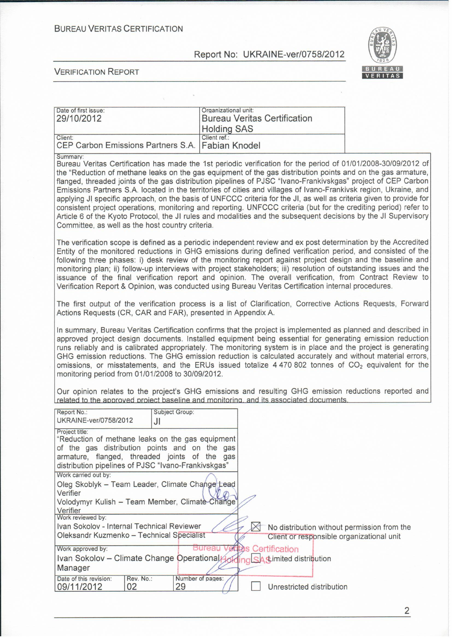#### **BUREAU VERITAS CERTIFICATION**

#### Report No: UKRAINE-ver/0758/2012



#### **VERIFICATION REPORT**

| Date of first issue:<br>29/10/2012                          | Organizational unit:<br><b>Bureau Veritas Certification</b><br><b>Holding SAS</b> |
|-------------------------------------------------------------|-----------------------------------------------------------------------------------|
| Client:<br>CEP Carbon Emissions Partners S.A. Fabian Knodel | Client ref.:                                                                      |

Summary:

Bureau Veritas Certification has made the 1st periodic verification for the period of 01/01/2008-30/09/2012 of the "Reduction of methane leaks on the gas equipment of the gas distribution points and on the gas armature. flanged, threaded joints of the gas distribution pipelines of PJSC "Ivano-Frankivskgas" project of CEP Carbon Emissions Partners S.A. located in the territories of cities and villages of Ivano-Frankivsk region, Ukraine, and applying JI specific approach, on the basis of UNFCCC criteria for the JI, as well as criteria given to provide for consistent project operations, monitoring and reporting. UNFCCC criteria (but for the crediting period) refer to Article 6 of the Kyoto Protocol, the JI rules and modalities and the subsequent decisions by the JI Supervisory Committee, as well as the host country criteria.

The verification scope is defined as a periodic independent review and ex post determination by the Accredited Entity of the monitored reductions in GHG emissions during defined verification period, and consisted of the following three phases: i) desk review of the monitoring report against project design and the baseline and monitoring plan; ii) follow-up interviews with project stakeholders; iii) resolution of outstanding issues and the issuance of the final verification report and opinion. The overall verification, from Contract Review to Verification Report & Opinion, was conducted using Bureau Veritas Certification internal procedures.

The first output of the verification process is a list of Clarification. Corrective Actions Requests. Forward Actions Requests (CR, CAR and FAR), presented in Appendix A.

In summary. Bureau Veritas Certification confirms that the project is implemented as planned and described in approved project design documents. Installed equipment being essential for generating emission reduction runs reliably and is calibrated appropriately. The monitoring system is in place and the project is generating GHG emission reductions. The GHG emission reduction is calculated accurately and without material errors. omissions, or misstatements, and the ERUs issued totalize  $4470802$  tonnes of  $CO<sub>2</sub>$  equivalent for the monitoring period from 01/01/2008 to 30/09/2012.

Our opinion relates to the project's GHG emissions and resulting GHG emission reductions reported and related to the approved project baseline and monitoring, and its associated documents.

| Report No.:                                         |           | Subject Group:   |                                             |
|-----------------------------------------------------|-----------|------------------|---------------------------------------------|
| UKRAINE-ver/0758/2012                               | JI        |                  |                                             |
| Project title:                                      |           |                  |                                             |
| "Reduction of methane leaks on the gas equipment    |           |                  |                                             |
| of the gas distribution points and on the gas       |           |                  |                                             |
| armature, flanged, threaded joints of the gas       |           |                  |                                             |
| distribution pipelines of PJSC "Ivano-Frankivskgas" |           |                  |                                             |
| Work carried out by:                                |           |                  |                                             |
| Oleg Skoblyk - Team Leader, Climate Change Lead     |           |                  |                                             |
| Verifier                                            |           |                  |                                             |
| Volodymyr Kulish - Team Member, Climate-Change'     |           |                  |                                             |
| Verifier                                            |           |                  |                                             |
| Work reviewed by:                                   |           |                  |                                             |
| Ivan Sokolov - Internal Technical Reviewer          |           |                  | No distribution without permission from the |
| Oleksandr Kuzmenko - Technical Specialist           |           |                  | Client or responsible organizational unit   |
| Work approved by:                                   |           | Bureau           | <b>Vertas Certification</b>                 |
| Ivan Sokolov - Climate Change Operational           |           |                  | <sub>d</sub> SA timited distribution        |
| Manager                                             |           |                  |                                             |
| Date of this revision:                              | Rev. No.: | Number of pages: |                                             |
| 09/11/2012                                          | 02        | 29               | Unrestricted distribution                   |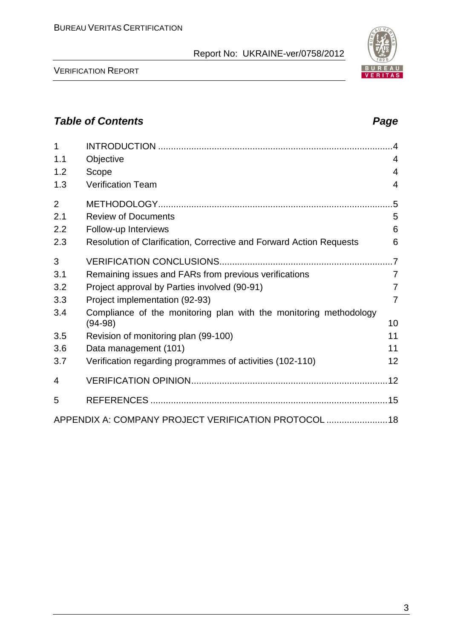VERIFICATION REPORT

| 1              |                                                                                |                |
|----------------|--------------------------------------------------------------------------------|----------------|
| 1.1            | Objective                                                                      | $\overline{4}$ |
| 1.2            | Scope                                                                          | $\overline{4}$ |
| 1.3            | <b>Verification Team</b>                                                       | $\overline{4}$ |
| $\overline{2}$ |                                                                                |                |
| 2.1            | <b>Review of Documents</b>                                                     | 5              |
| 2.2            | Follow-up Interviews                                                           | 6              |
| 2.3            | Resolution of Clarification, Corrective and Forward Action Requests            | 6              |
| 3              |                                                                                |                |
| 3.1            | Remaining issues and FARs from previous verifications                          | $\overline{7}$ |
| 3.2            | Project approval by Parties involved (90-91)                                   | $\overline{7}$ |
| 3.3            | Project implementation (92-93)                                                 | $\overline{7}$ |
| 3.4            | Compliance of the monitoring plan with the monitoring methodology<br>$(94-98)$ | 10             |
| 3.5            | Revision of monitoring plan (99-100)                                           | 11             |
| 3.6            | Data management (101)                                                          | 11             |
| 3.7            | Verification regarding programmes of activities (102-110)                      | 12             |
| 4              |                                                                                |                |
| 5              |                                                                                |                |
|                | APPENDIX A: COMPANY PROJECT VERIFICATION PROTOCOL  18                          |                |



# *Table of Contents Page*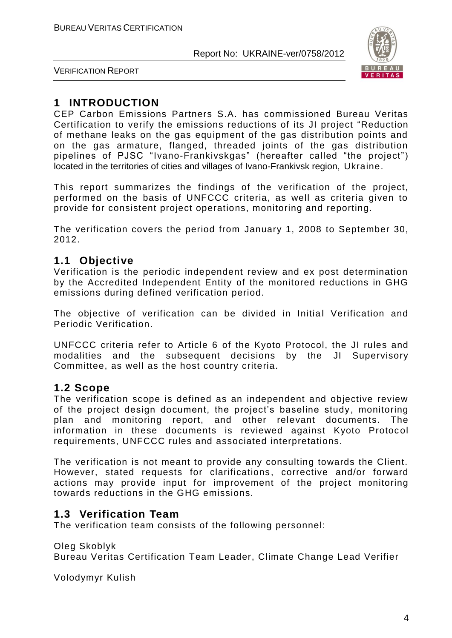

VERIFICATION REPORT

# **1 INTRODUCTION**

CEP Carbon Emissions Partners S.A. has commissioned Bureau Veritas Certification to verify the emissions reductions of its JI project "Reduction of methane leaks on the gas equipment of the gas distribution points and on the gas armature, flanged, threaded joints of the gas distribution pipelines of PJSC "Ivano-Frankivskgas" (hereafter called "the project") located in the territories of cities and villages of Ivano-Frankivsk region, Ukraine.

This report summarizes the findings of the verification of the project, performed on the basis of UNFCCC criteria, as well as criteria given to provide for consistent project operations, monitoring and reporting.

The verification covers the period from January 1, 2008 to September 30, 2012.

# **1.1 Objective**

Verification is the periodic independent review and ex post determination by the Accredited Independent Entity of the monitored reductions in GHG emissions during defined verification period.

The objective of verification can be divided in Initial Verification and Periodic Verification.

UNFCCC criteria refer to Article 6 of the Kyoto Protocol, the JI rules and modalities and the subsequent decisions by the JI Supervisory Committee, as well as the host country criteria.

#### **1.2 Scope**

The verification scope is defined as an independent and objective review of the project design document, the project's baseline study, monitoring plan and monitoring report, and other relevant documents. The information in these documents is reviewed against Kyoto Protocol requirements, UNFCCC rules and associated interpretations.

The verification is not meant to provide any consulting towards the Client. However, stated requests for clarifications, corrective and/or forward actions may provide input for improvement of the project monitoring towards reductions in the GHG emissions.

# **1.3 Verification Team**

The verification team consists of the following personnel:

Oleg Skoblyk Bureau Veritas Certification Team Leader, Climate Change Lead Verifier

Volodymyr Kulish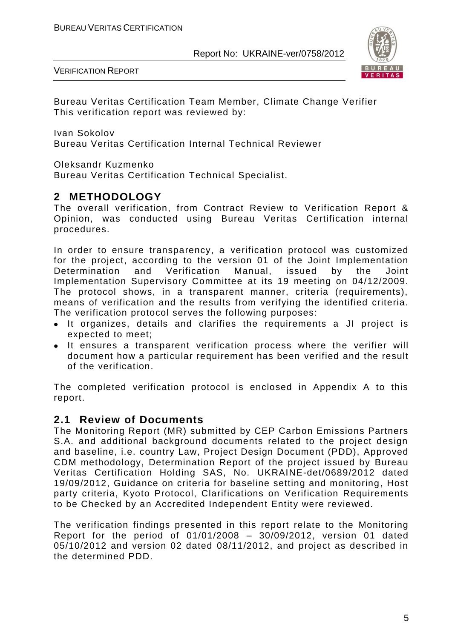VERIFICATION REPORT



Bureau Veritas Certification Team Member, Climate Change Verifier This verification report was reviewed by:

Ivan Sokolov

Bureau Veritas Certification Internal Technical Reviewer

Oleksandr Kuzmenko

Bureau Veritas Certification Technical Specialist.

# **2 METHODOLOGY**

The overall verification, from Contract Review to Verification Report & Opinion, was conducted using Bureau Veritas Certification internal procedures.

In order to ensure transparency, a verification protocol was customized for the project, according to the version 01 of the Joint Implementation Determination and Verification Manual, issued by the Joint Implementation Supervisory Committee at its 19 meeting on 04/12/2009. The protocol shows, in a transparent manner, criteria (requirements), means of verification and the results from verifying the identified criteria. The verification protocol serves the following purposes:

- It organizes, details and clarifies the requirements a JI project is expected to meet;
- It ensures a transparent verification process where the verifier will document how a particular requirement has been verified and the result of the verification.

The completed verification protocol is enclosed in Appendix A to this report.

#### **2.1 Review of Documents**

The Monitoring Report (MR) submitted by CEP Carbon Emissions Partners S.A. and additional background documents related to the project design and baseline, i.e. country Law, Project Design Document (PDD), Approved CDM methodology, Determination Report of the project issued by Bureau Veritas Certification Holding SAS, No. UKRAINE-det/0689/2012 dated 19/09/2012, Guidance on criteria for baseline setting and monitoring, Host party criteria, Kyoto Protocol, Clarifications on Verification Requirements to be Checked by an Accredited Independent Entity were reviewed.

The verification findings presented in this report relate to the Monitoring Report for the period of 01/01/2008 – 30/09/2012, version 01 dated 05/10/2012 and version 02 dated 08/11/2012, and project as described in the determined PDD.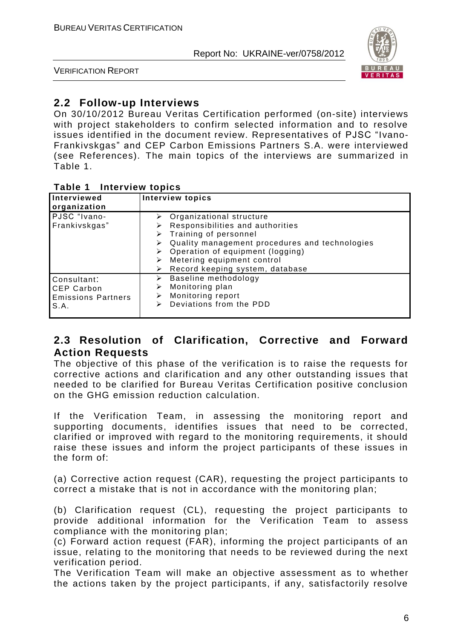

VERIFICATION REPORT

# **2.2 Follow-up Interviews**

On 30/10/2012 Bureau Veritas Certification performed (on-site) interviews with project stakeholders to confirm selected information and to resolve issues identified in the document review. Representatives of PJSC "Ivano-Frankivskgas" and CEP Carbon Emissions Partners S.A. were interviewed (see References). The main topics of the interviews are summarized in Table 1.

#### **Table 1 Interview topics**

| Interviewed<br>organization                                           | <b>Interview topics</b>                                                                                                                                                                                                                                                             |  |  |  |
|-----------------------------------------------------------------------|-------------------------------------------------------------------------------------------------------------------------------------------------------------------------------------------------------------------------------------------------------------------------------------|--|--|--|
| PJSC "Ivano-<br>Frankivskgas"                                         | $\triangleright$ Organizational structure<br>Responsibilities and authorities<br>$\triangleright$ Training of personnel<br>Quality management procedures and technologies<br>Operation of equipment (logging)<br>Metering equipment control<br>Record keeping system, database<br>⋗ |  |  |  |
| Consultant:<br><b>CEP Carbon</b><br><b>Emissions Partners</b><br>S.A. | Baseline methodology<br>➤<br>Monitoring plan<br>⋗<br>Monitoring report<br>Deviations from the PDD<br>⋗                                                                                                                                                                              |  |  |  |

#### **2.3 Resolution of Clarification, Corrective and Forward Action Requests**

The objective of this phase of the verification is to raise the requests for corrective actions and clarification and any other outstanding issues that needed to be clarified for Bureau Veritas Certification positive conclusion on the GHG emission reduction calculation.

If the Verification Team, in assessing the monitoring report and supporting documents, identifies issues that need to be corrected, clarified or improved with regard to the monitoring requirements, it should raise these issues and inform the project participants of these issues in the form of:

(a) Corrective action request (CAR), requesting the project participants to correct a mistake that is not in accordance with the monitoring plan;

(b) Clarification request (CL), requesting the project participants to provide additional information for the Verification Team to assess compliance with the monitoring plan;

(c) Forward action request (FAR), informing the project participants of an issue, relating to the monitoring that needs to be reviewed during the next verification period.

The Verification Team will make an objective assessment as to whether the actions taken by the project participants, if any, satisfactorily resolve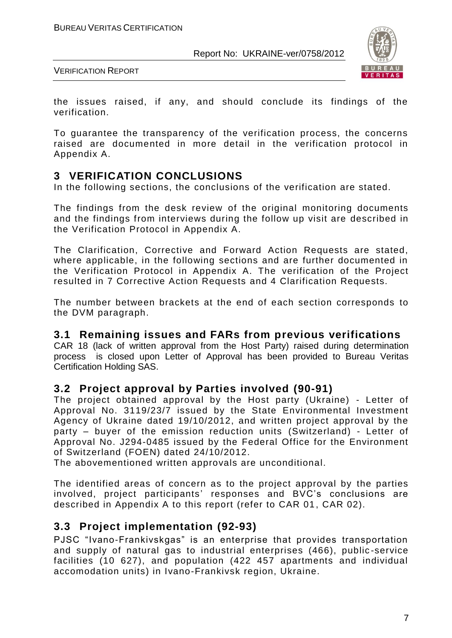

VERIFICATION REPORT

the issues raised, if any, and should conclude its findings of the verification.

To guarantee the transparency of the verification process, the concerns raised are documented in more detail in the verification protocol in Appendix A.

# **3 VERIFICATION CONCLUSIONS**

In the following sections, the conclusions of the verification are stated.

The findings from the desk review of the original monitoring documents and the findings from interviews during the follow up visit are described in the Verification Protocol in Appendix A.

The Clarification, Corrective and Forward Action Requests are stated, where applicable, in the following sections and are further documented in the Verification Protocol in Appendix A. The verification of the Project resulted in 7 Corrective Action Requests and 4 Clarification Requests.

The number between brackets at the end of each section corresponds to the DVM paragraph.

#### **3.1 Remaining issues and FARs from previous verifications**

CAR 18 (lack of written approval from the Host Party) raised during determination process is closed upon Letter of Approval has been provided to Bureau Veritas Certification Holding SAS.

#### **3.2 Project approval by Parties involved (90-91)**

The project obtained approval by the Host party (Ukraine) - Letter of Approval No. 3119/23/7 issued by the State Environmental Investment Agency of Ukraine dated 19/10/2012, and written project approval by the party – buyer of the emission reduction units (Switzerland) - Letter of Approval No. J294-0485 issued by the Federal Office for the Environment of Switzerland (FOEN) dated 24/10/2012.

The abovementioned written approvals are unconditional.

The identified areas of concern as to the project approval by the parties involved, project participants' responses and BVC's conclusions are described in Appendix A to this report (refer to CAR 01, CAR 02).

# **3.3 Project implementation (92-93)**

PJSC "Ivano-Frankivskgas" is an enterprise that provides transportation and supply of natural gas to industrial enterprises (466), public -service facilities (10 627), and population (422 457 apartments and individual accomodation units) in Ivano-Frankivsk region, Ukraine.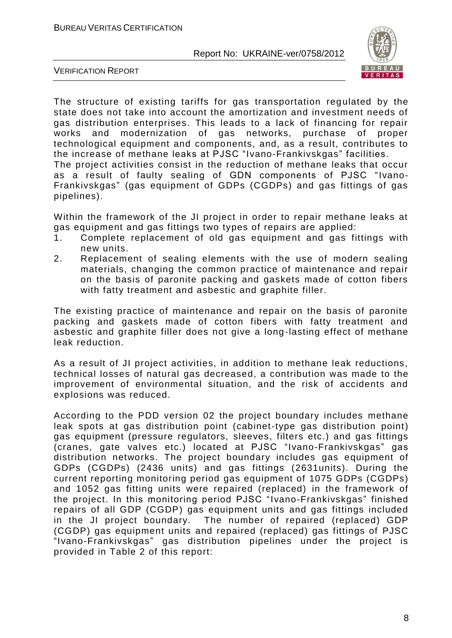

VERIFICATION REPORT

The structure of existing tariffs for gas transportation regulated by the state does not take into account the amortization and investment needs of gas distribution enterprises. This leads to a lack of financing for repair works and modernization of gas networks, purchase of proper technological equipment and components, and, as a result, contributes to the increase of methane leaks at PJSC "Ivano-Frankivskgas" facilities.

The project activities consist in the reduction of methane leaks that occur as a result of faulty sealing of GDN components of PJSC "Ivano-Frankivskgas" (gas equipment of GDPs (CGDPs) and gas fittings of gas pipelines).

Within the framework of the JI project in order to repair methane leaks at gas equipment and gas fittings two types of repairs are applied:

- 1. Complete replacement of old gas equipment and gas fittings with new units.
- 2. Replacement of sealing elements with the use of modern sealing materials, changing the common practice of maintenance and repair on the basis of paronite packing and gaskets made of cotton fibers with fatty treatment and asbestic and graphite filler.

The existing practice of maintenance and repair on the basis of paronite packing and gaskets made of cotton fibers with fatty treatment and asbestic and graphite filler does not give a long-lasting effect of methane leak reduction.

As a result of JI project activities, in addition to methane leak reductions, technical losses of natural gas decreased, a contribution was made to the improvement of environmental situation, and the risk of accidents and explosions was reduced.

According to the PDD version 02 the project boundary includes methane leak spots at gas distribution point (cabinet-type gas distribution point) gas equipment (pressure regulators, sleeves, filters etc.) and gas fittings (cranes, gate valves etc.) located at PJSC "Ivano-Frankivskgas" gas distribution networks. The project boundary includes gas equipment of GDPs (CGDPs) (2436 units) and gas fittings (2631units). During the current reporting monitoring period gas equipment of 1075 GDPs (CGDPs) and 1052 gas fitting units were repaired (replaced) in the framework of the project. In this monitoring period PJSC "Ivano-Frankivskgas" finished repairs of all GDP (CGDP) gas equipment units and gas fittings included in the JI project boundary. The number of repaired (replaced) GDP (CGDP) gas equipment units and repaired (replaced) gas fittings of PJSC "Ivano-Frankivskgas" gas distribution pipelines under the project is provided in Table 2 of this report: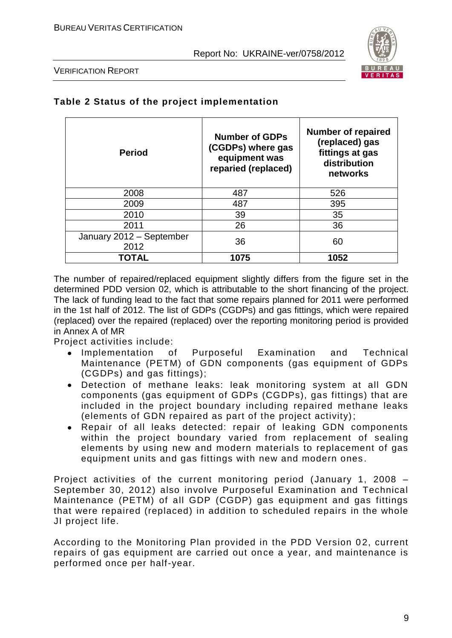

VERIFICATION REPORT

| <b>Period</b>                    | <b>Number of GDPs</b><br>(CGDPs) where gas<br>equipment was<br>reparied (replaced) | <b>Number of repaired</b><br>(replaced) gas<br>fittings at gas<br>distribution<br>networks |
|----------------------------------|------------------------------------------------------------------------------------|--------------------------------------------------------------------------------------------|
| 2008                             | 487                                                                                | 526                                                                                        |
| 2009                             | 487                                                                                | 395                                                                                        |
| 2010                             | 39                                                                                 | 35                                                                                         |
| 2011                             | 26                                                                                 | 36                                                                                         |
| January 2012 - September<br>2012 | 36                                                                                 | 60                                                                                         |
| TOTAL                            | 1075                                                                               | 1052                                                                                       |

#### **Table 2 Status of the project implementation**

The number of repaired/replaced equipment slightly differs from the figure set in the determined PDD version 02, which is attributable to the short financing of the project. The lack of funding lead to the fact that some repairs planned for 2011 were performed in the 1st half of 2012. The list of GDPs (CGDPs) and gas fittings, which were repaired (replaced) over the repaired (replaced) over the reporting monitoring period is provided in Annex A of MR

Project activities include:

- Implementation of Purposeful Examination and Technical Maintenance (PETM) of GDN components (gas equipment of GDPs (CGDPs) and gas fittings);
- Detection of methane leaks: leak monitoring system at all GDN components (gas equipment of GDPs (CGDPs), gas fittings) that are included in the project boundary including repaired methane leaks (elements of GDN repaired as part of the project activity);
- Repair of all leaks detected: repair of leaking GDN components within the project boundary varied from replacement of sealing elements by using new and modern materials to replacement of gas equipment units and gas fittings with new and modern ones .

Project activities of the current monitoring period (January 1, 2008 – September 30, 2012) also involve Purposeful Examination and Technical Maintenance (PETM) of all GDP (CGDP) gas equipment and gas fittings that were repaired (replaced) in addition to scheduled repairs in the whole JI project life.

According to the Monitoring Plan provided in the PDD Version 02, current repairs of gas equipment are carried out once a year, and maintenance is performed once per half-year.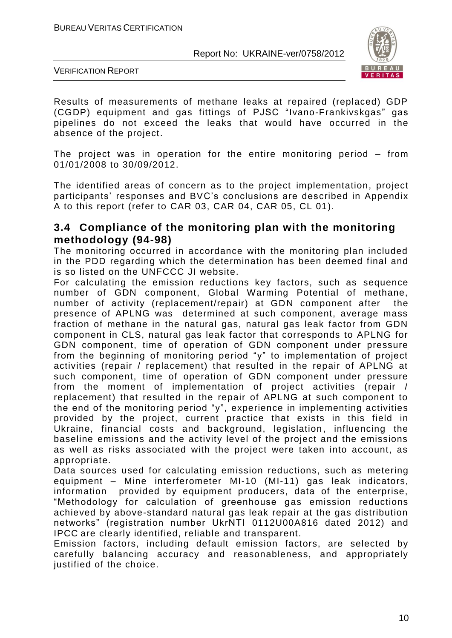

VERIFICATION REPORT

Results of measurements of methane leaks at repaired (replaced) GDP (CGDP) equipment and gas fittings of PJSC "Ivano-Frankivskgas" gas pipelines do not exceed the leaks that would have occurred in the absence of the project.

The project was in operation for the entire monitoring period – from 01/01/2008 to 30/09/2012.

The identified areas of concern as to the project implementation, project participants' responses and BVC's conclusions are described in Appendix A to this report (refer to CAR 03, CAR 04, CAR 05, CL 01).

#### **3.4 Compliance of the monitoring plan with the monitoring methodology (94-98)**

The monitoring occurred in accordance with the monitoring plan included in the PDD regarding which the determination has been deemed final and is so listed on the UNFCCC JI website.

For calculating the emission reductions key factors, such as sequence number of GDN component, Global Warming Potential of methane, number of activity (replacement/repair) at GDN component after the presence of APLNG was determined at such component, average mass fraction of methane in the natural gas, natural gas leak factor from GDN component in CLS, natural gas leak factor that corresponds to APLNG for GDN component, time of operation of GDN component under pressure from the beginning of monitoring period "y" to implementation of project activities (repair / replacement) that resulted in the repair of APLNG at such component, time of operation of GDN component under pressure from the moment of implementation of project activities (repair / replacement) that resulted in the repair of APLNG at such component to the end of the monitoring period "y", experience in implementing activities provided by the project, current practice that exists in this field in Ukraine, financial costs and background, legislation, influencing the baseline emissions and the activity level of the project and the emissions as well as risks associated with the project were taken into account, as appropriate.

Data sources used for calculating emission reductions, such as metering equipment – Mine interferometer MI-10 (MI-11) gas leak indicators, information provided by equipment producers, data of the enterprise, "Methodology for calculation of greenhouse gas emission reductions achieved by above-standard natural gas leak repair at the gas distribution networks" (registration number UkrNTI 0112U00A816 dated 2012) and IPCC are clearly identified, reliable and transparent.

Emission factors, including default emission factors, are selected by carefully balancing accuracy and reasonableness, and appropriately justified of the choice.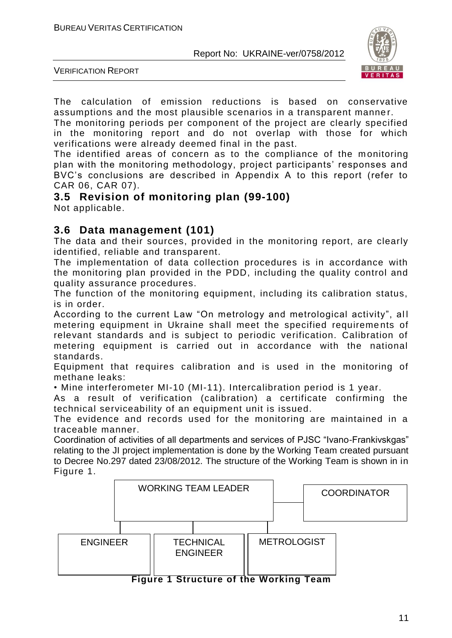

VERIFICATION REPORT

The calculation of emission reductions is based on conservative assumptions and the most plausible scenarios in a transparent manne r.

The monitoring periods per component of the project are clearly specified in the monitoring report and do not overlap with those for which verifications were already deemed final in the past.

The identified areas of concern as to the compliance of the monitoring plan with the monitoring methodology, project participants' responses and BVC's conclusions are described in Appendix A to this report (refer to CAR 06, CAR 07).

#### **3.5 Revision of monitoring plan (99-100)**

Not applicable.

#### **3.6 Data management (101)**

The data and their sources, provided in the monitoring report, are clearly identified, reliable and transparent.

The implementation of data collection procedures is in accordance with the monitoring plan provided in the PDD, including the quality control and quality assurance procedures.

The function of the monitoring equipment, including its calibration status, is in order.

According to the current Law "On metrology and metrological activity", all metering equipment in Ukraine shall meet the specified requirements of relevant standards and is subject to periodic verification. Calibration of metering equipment is carried out in accordance with the national standards.

Equipment that requires calibration and is used in the monitoring of methane leaks:

• Mine interferometer MI-10 (MI-11). Intercalibration period is 1 year.

As a result of verification (calibration) a certificate confirming the technical serviceability of an equipment unit is issued.

The evidence and records used for the monitoring are maintained in a traceable manner.

Coordination of activities of all departments and services of PJSC "Ivano-Frankivskgas" relating to the JI project implementation is done by the Working Team created pursuant to Decree No.297 dated 23/08/2012. The structure of the Working Team is shown in in Figure 1.



**Figure 1 Structure of the Working Team**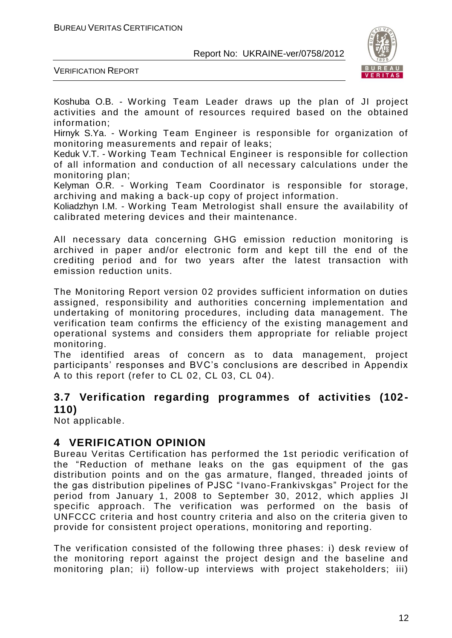

VERIFICATION REPORT

Koshuba O.B. - Working Team Leader draws up the plan of JI project activities and the amount of resources required based on the obtained information;

Hirnyk S.Ya. - Working Team Engineer is responsible for organization of monitoring measurements and repair of leaks;

Keduk V.T. - Working Team Technical Engineer is responsible for collection of all information and conduction of all necessary calculations under the monitoring plan;

Kelyman O.R. - Working Team Coordinator is responsible for storage, archiving and making a back-up copy of project information.

Koliadzhyn I.M. - Working Team Metrologist shall ensure the availability of calibrated metering devices and their maintenance.

All necessary data concerning GHG emission reduction monitoring is archived in paper and/or electronic form and kept till the end of the crediting period and for two years after the latest transaction with emission reduction units.

The Monitoring Report version 02 provides sufficient information on duties assigned, responsibility and authorities concerning implementation and undertaking of monitoring procedures, including data management. The verification team confirms the efficiency of the existing management and operational systems and considers them appropriate for reliable project monitoring.

The identified areas of concern as to data management, project participants' responses and BVC's conclusions are described in Appendix A to this report (refer to CL 02, CL 03, CL 04).

# **3.7 Verification regarding programmes of activities (102- 110)**

Not applicable.

# **4 VERIFICATION OPINION**

Bureau Veritas Certification has performed the 1st periodic verification of the "Reduction of methane leaks on the gas equipment of the gas distribution points and on the gas armature, flanged, threaded joints of the gas distribution pipelines of PJSC "Ivano-Frankivskgas" Project for the period from January 1, 2008 to September 30, 2012, which applies JI specific approach. The verification was performed on the basis of UNFCCC criteria and host country criteria and also on the criteria given to provide for consistent project operations, monitoring and reporting.

The verification consisted of the following three phases: i) desk review of the monitoring report against the project design and the baseline and monitoring plan; ii) follow-up interviews with project stakeholders; iii)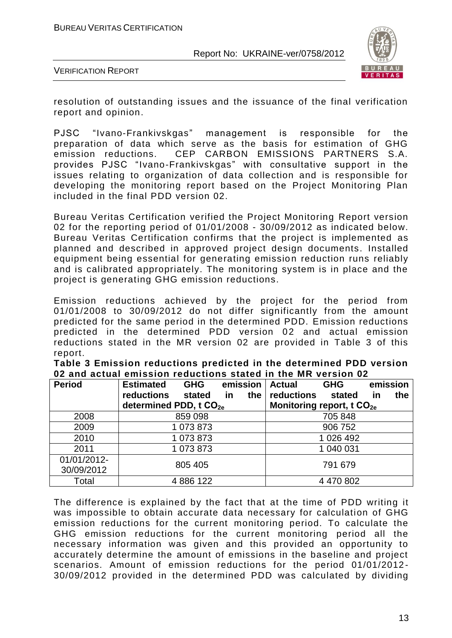

VERIFICATION REPORT

resolution of outstanding issues and the issuance of the final verification report and opinion.

PJSC "Ivano-Frankivskgas" management is responsible for the preparation of data which serve as the basis for estimation of GHG emission reductions. CEP CARBON EMISSIONS PARTNERS S.A. provides PJSC "Ivano-Frankivskgas" with consultative support in the issues relating to organization of data collection and is responsible for developing the monitoring report based on the Project Monitoring Plan included in the final PDD version 02.

Bureau Veritas Certification verified the Project Monitoring Report version 02 for the reporting period of 01/01/2008 - 30/09/2012 as indicated below. Bureau Veritas Certification confirms that the project is implemented as planned and described in approved project design documents. Installed equipment being essential for generating emission reduction runs reliably and is calibrated appropriately. The monitoring system is in place and the project is generating GHG emission reductions.

Emission reductions achieved by the project for the period from 01/01/2008 to 30/09/2012 do not differ significantly from the amount predicted for the same period in the determined PDD. Emission reductions predicted in the determined PDD version 02 and actual emission reductions stated in the MR version 02 are provided in Table 3 of this report.

| Table 3 Emission reductions predicted in the determined PDD version |  |  |
|---------------------------------------------------------------------|--|--|
| 02 and actual emission reductions stated in the MR version 02       |  |  |

| <b>Period</b> | <b>Estimated</b><br><b>GHG</b>     | emission         | <b>Actual</b> | <b>GHG</b>                            | emission         |
|---------------|------------------------------------|------------------|---------------|---------------------------------------|------------------|
|               | reductions<br>stated               | the<br><b>in</b> | reductions    | stated                                | the<br><u>in</u> |
|               | determined PDD, t CO <sub>2e</sub> |                  |               | Monitoring report, t CO <sub>2e</sub> |                  |
| 2008          | 859 098                            |                  |               | 705 848                               |                  |
| 2009          | 1 073 873                          |                  | 906 752       |                                       |                  |
| 2010          | 1 073 873                          |                  |               | 1 026 492                             |                  |
| 2011          | 1 073 873                          |                  |               | 1 040 031                             |                  |
| 01/01/2012-   | 805 405                            |                  |               | 791 679                               |                  |
| 30/09/2012    |                                    |                  |               |                                       |                  |
| Total         | 4 886 122                          |                  |               | 4 470 802                             |                  |

The difference is explained by the fact that at the time of PDD writing it was impossible to obtain accurate data necessary for calculation of GHG emission reductions for the current monitoring period. To calculate the GHG emission reductions for the current monitoring period all the necessary information was given and this provided an opportunity to accurately determine the amount of emissions in the baseline and project scenarios. Amount of emission reductions for the period 01/01/2012- 30/09/2012 provided in the determined PDD was calculated by dividing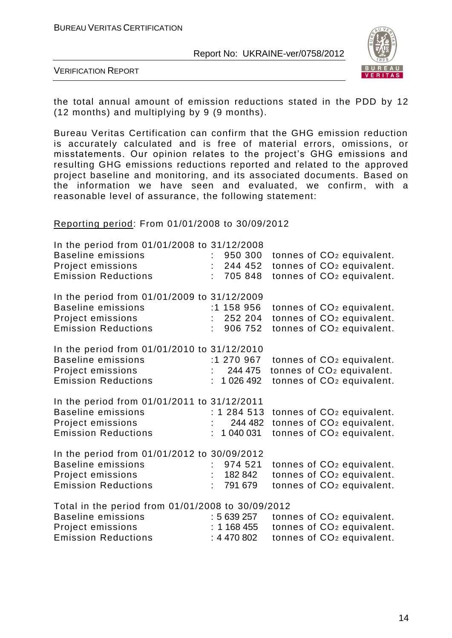

VERIFICATION REPORT

the total annual amount of emission reductions stated in the PDD by 12 (12 months) and multiplying by 9 (9 months).

Bureau Veritas Certification can confirm that the GHG emission reduction is accurately calculated and is free of material errors, omissions, or misstatements. Our opinion relates to the project's GHG emissions and resulting GHG emissions reductions reported and related to the approved project baseline and monitoring, and its associated documents. Based on the information we have seen and evaluated, we confirm, with a reasonable level of assurance, the following statement:

#### Reporting period: From 01/01/2008 to 30/09/2012

| In the period from 01/01/2008 to 31/12/2008       |    |             |                                       |  |
|---------------------------------------------------|----|-------------|---------------------------------------|--|
| <b>Baseline emissions</b>                         |    | 950 300     | tonnes of CO <sub>2</sub> equivalent. |  |
| Project emissions                                 |    | 244 452     | tonnes of CO <sub>2</sub> equivalent. |  |
| <b>Emission Reductions</b>                        |    | 705 848     | tonnes of CO <sub>2</sub> equivalent. |  |
| In the period from 01/01/2009 to 31/12/2009       |    |             |                                       |  |
| <b>Baseline emissions</b>                         |    | :1 158 956  | tonnes of CO <sub>2</sub> equivalent. |  |
| Project emissions                                 |    | 252 204     | tonnes of CO <sub>2</sub> equivalent. |  |
| <b>Emission Reductions</b>                        |    | 906 752     | tonnes of CO <sub>2</sub> equivalent. |  |
|                                                   |    |             |                                       |  |
| In the period from 01/01/2010 to 31/12/2010       |    |             |                                       |  |
| <b>Baseline emissions</b>                         |    | :1 270 967  | tonnes of CO <sub>2</sub> equivalent. |  |
| Project emissions                                 |    | 244 475     | tonnes of CO <sub>2</sub> equivalent. |  |
| <b>Emission Reductions</b>                        |    | 1 026 492   | tonnes of CO <sub>2</sub> equivalent. |  |
| In the period from 01/01/2011 to 31/12/2011       |    |             |                                       |  |
| <b>Baseline emissions</b>                         |    | : 1 284 513 | tonnes of CO <sub>2</sub> equivalent. |  |
| Project emissions                                 |    | : 244482    | tonnes of CO <sub>2</sub> equivalent. |  |
| <b>Emission Reductions</b>                        |    | 1 040 031   | tonnes of CO <sub>2</sub> equivalent. |  |
| In the period from 01/01/2012 to 30/09/2012       |    |             |                                       |  |
| <b>Baseline emissions</b>                         |    | 974 521     | tonnes of CO <sub>2</sub> equivalent. |  |
| Project emissions                                 | t. | 182 842     | tonnes of CO <sub>2</sub> equivalent. |  |
| <b>Emission Reductions</b>                        |    | 791 679     | tonnes of CO <sub>2</sub> equivalent. |  |
| Total in the period from 01/01/2008 to 30/09/2012 |    |             |                                       |  |
| <b>Baseline emissions</b>                         |    | : 5639257   | tonnes of CO <sub>2</sub> equivalent. |  |
| Project emissions                                 |    | : 1168455   | tonnes of CO <sub>2</sub> equivalent. |  |
| <b>Emission Reductions</b>                        |    | : 4470802   | tonnes of CO <sub>2</sub> equivalent. |  |
|                                                   |    |             |                                       |  |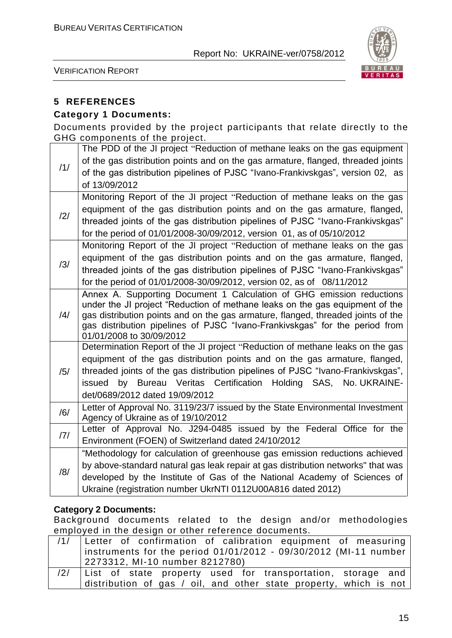

VERIFICATION REPORT

#### **5 REFERENCES**

#### **Category 1 Documents:**

Documents provided by the project participants that relate directly to the GHG components of the project.

|     | The PDD of the JI project "Reduction of methane leaks on the gas equipment                                                                                      |
|-----|-----------------------------------------------------------------------------------------------------------------------------------------------------------------|
| /1/ | of the gas distribution points and on the gas armature, flanged, threaded joints                                                                                |
|     | of the gas distribution pipelines of PJSC "Ivano-Frankivskgas", version 02, as                                                                                  |
|     | of 13/09/2012                                                                                                                                                   |
|     | Monitoring Report of the JI project "Reduction of methane leaks on the gas                                                                                      |
| /2/ | equipment of the gas distribution points and on the gas armature, flanged,                                                                                      |
|     | threaded joints of the gas distribution pipelines of PJSC "Ivano-Frankivskgas"                                                                                  |
|     | for the period of 01/01/2008-30/09/2012, version 01, as of 05/10/2012                                                                                           |
|     | Monitoring Report of the JI project "Reduction of methane leaks on the gas                                                                                      |
| /3/ | equipment of the gas distribution points and on the gas armature, flanged,                                                                                      |
|     | threaded joints of the gas distribution pipelines of PJSC "Ivano-Frankivskgas"                                                                                  |
|     | for the period of 01/01/2008-30/09/2012, version 02, as of 08/11/2012                                                                                           |
|     | Annex A. Supporting Document 1 Calculation of GHG emission reductions                                                                                           |
|     | under the JI project "Reduction of methane leaks on the gas equipment of the                                                                                    |
| /4/ | gas distribution points and on the gas armature, flanged, threaded joints of the<br>gas distribution pipelines of PJSC "Ivano-Frankivskgas" for the period from |
|     | 01/01/2008 to 30/09/2012                                                                                                                                        |
|     | Determination Report of the JI project "Reduction of methane leaks on the gas                                                                                   |
|     | equipment of the gas distribution points and on the gas armature, flanged,                                                                                      |
| /5/ | threaded joints of the gas distribution pipelines of PJSC "Ivano-Frankivskgas",                                                                                 |
|     | issued by Bureau Veritas Certification Holding SAS, No. UKRAINE-                                                                                                |
|     | det/0689/2012 dated 19/09/2012                                                                                                                                  |
| /6/ | Letter of Approval No. 3119/23/7 issued by the State Environmental Investment                                                                                   |
|     | Agency of Ukraine as of 19/10/2012                                                                                                                              |
| 7   | Letter of Approval No. J294-0485 issued by the Federal Office for the                                                                                           |
|     | Environment (FOEN) of Switzerland dated 24/10/2012                                                                                                              |
|     | "Methodology for calculation of greenhouse gas emission reductions achieved                                                                                     |
| /8/ | by above-standard natural gas leak repair at gas distribution networks" that was                                                                                |
|     | developed by the Institute of Gas of the National Academy of Sciences of                                                                                        |
|     | Ukraine (registration number UkrNTI 0112U00A816 dated 2012)                                                                                                     |

#### **Category 2 Documents:**

Background documents related to the design and/or methodologies employed in the design or other reference documents.

|     | /1/ Letter of confirmation of calibration equipment of measuring   |
|-----|--------------------------------------------------------------------|
|     | instruments for the period $01/01/2012$ - 09/30/2012 (MI-11 number |
|     | 2273312, MI-10 number 8212780)                                     |
| /2/ | List of state property used for transportation, storage and        |
|     | distribution of gas / oil, and other state property, which is not  |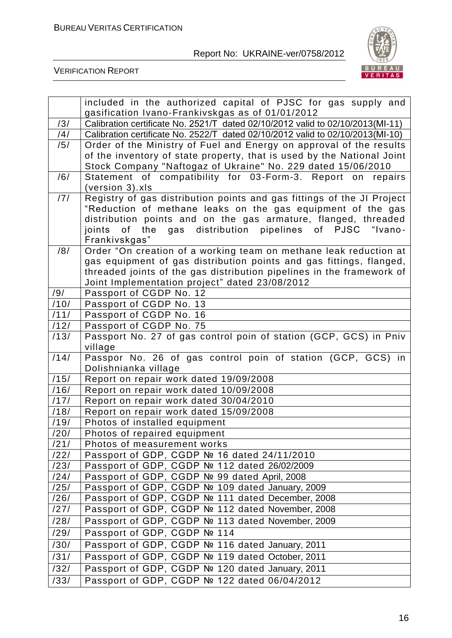

VERIFICATION REPORT

|                    | included in the authorized capital of PJSC for gas supply and                                                                 |
|--------------------|-------------------------------------------------------------------------------------------------------------------------------|
|                    | gasification Ivano-Frankivskgas as of 01/01/2012                                                                              |
| /3/                | Calibration certificate No. 2521/T dated 02/10/2012 valid to 02/10/2013(MI-11)                                                |
| /4/                | Calibration certificate No. 2522/T dated 02/10/2012 valid to 02/10/2013(MI-10)                                                |
| /5/                | Order of the Ministry of Fuel and Energy on approval of the results                                                           |
|                    | of the inventory of state property, that is used by the National Joint                                                        |
|                    | Stock Company "Naftogaz of Ukraine" No. 229 dated 15/06/2010                                                                  |
| /6/                | Statement of compatibility for 03-Form-3. Report on repairs                                                                   |
|                    | (version 3).xls                                                                                                               |
| /7/                | Registry of gas distribution points and gas fittings of the JI Project                                                        |
|                    | "Reduction of methane leaks on the gas equipment of the gas<br>distribution points and on the gas armature, flanged, threaded |
|                    | of the<br>gas distribution pipelines of PJSC "Ivano-<br>joints                                                                |
|                    | Frankivskgas"                                                                                                                 |
| /8/                | Order "On creation of a working team on methane leak reduction at                                                             |
|                    | gas equipment of gas distribution points and gas fittings, flanged,                                                           |
|                    | threaded joints of the gas distribution pipelines in the framework of                                                         |
|                    | Joint Implementation project" dated 23/08/2012                                                                                |
| /9/                | Passport of CGDP No. 12                                                                                                       |
| /10/               | Passport of CGDP No. 13                                                                                                       |
| /11/               | Passport of CGDP No. 16                                                                                                       |
| /12/               | Passport of CGDP No. 75                                                                                                       |
| /13/               | Passport No. 27 of gas control poin of station (GCP, GCS) in Pniv                                                             |
| /14/               | village                                                                                                                       |
|                    | Passpor No. 26 of gas control poin of station (GCP, GCS) in<br>Dolishnianka village                                           |
| $\overline{71}$ 5/ | Report on repair work dated 19/09/2008                                                                                        |
| /16/               | Report on repair work dated 10/09/2008                                                                                        |
| /17/               | Report on repair work dated 30/04/2010                                                                                        |
| /18/               | Report on repair work dated 15/09/2008                                                                                        |
| $\overline{7}$ 19/ | Photos of installed equipment                                                                                                 |
| /20/               | Photos of repaired equipment                                                                                                  |
| /21/               | Photos of measurement works                                                                                                   |
| /22/               | Passport of GDP, CGDP № 16 dated 24/11/2010                                                                                   |
| /23/               | Passport of GDP, CGDP № 112 dated 26/02/2009                                                                                  |
| /24/               | Passport of GDP, CGDP № 99 dated April, 2008                                                                                  |
| /25/               | Passport of GDP, CGDP Nº 109 dated January, 2009                                                                              |
| /26/               | Passport of GDP, CGDP Nº 111 dated December, 2008                                                                             |
| /27/               | Passport of GDP, CGDP Nº 112 dated November, 2008                                                                             |
| /28/               | Passport of GDP, CGDP Nº 113 dated November, 2009                                                                             |
| /29/               | Passport of GDP, CGDP № 114                                                                                                   |
| /30/               | Passport of GDP, CGDP Nº 116 dated January, 2011                                                                              |
| /31/               | Passport of GDP, CGDP Nº 119 dated October, 2011                                                                              |
| /32/               | Passport of GDP, CGDP Nº 120 dated January, 2011                                                                              |
| /33/               | Passport of GDP, CGDP № 122 dated 06/04/2012                                                                                  |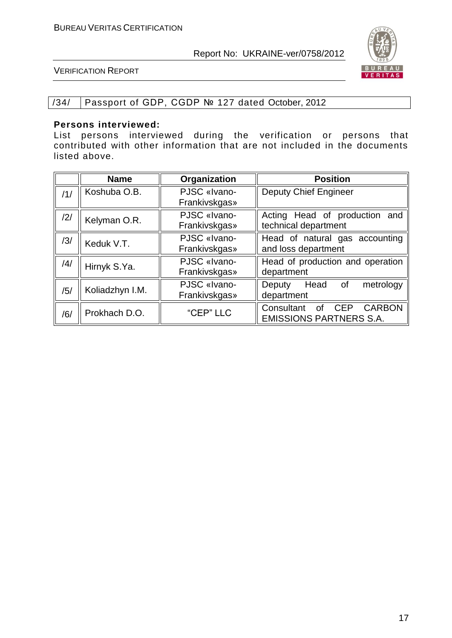

VERIFICATION REPORT

#### /34/ Passport of GDP, CGDP № 127 dated October, 2012

#### **Persons interviewed:**

List persons interviewed during the verification or persons that contributed with other information that are not included in the documents listed above.

|     | <b>Name</b>     | Organization  | <b>Position</b>                                        |
|-----|-----------------|---------------|--------------------------------------------------------|
| /1/ | Koshuba O.B.    | PJSC «Ivano-  | <b>Deputy Chief Engineer</b>                           |
|     |                 | Frankivskgas» |                                                        |
| 2   | Kelyman O.R.    | PJSC «Ivano-  | Acting Head of production and                          |
|     |                 | Frankivskgas» | technical department                                   |
| /3/ | Keduk V.T.      | PJSC «Ivano-  | Head of natural gas accounting                         |
|     |                 | Frankivskgas» | and loss department                                    |
| /4/ | Hirnyk S.Ya.    | PJSC «Ivano-  | Head of production and operation                       |
|     |                 | Frankivskgas» | department                                             |
|     | Koliadzhyn I.M. | PJSC «Ivano-  | Head<br>of<br>metrology<br><b>Deputy</b>               |
| /5/ |                 | Frankivskgas» | department                                             |
|     | Prokhach D.O.   | "CEP" LLC     | Consultant<br><b>CARBON</b><br><b>CEP</b><br><b>of</b> |
| /6/ |                 |               | <b>EMISSIONS PARTNERS S.A.</b>                         |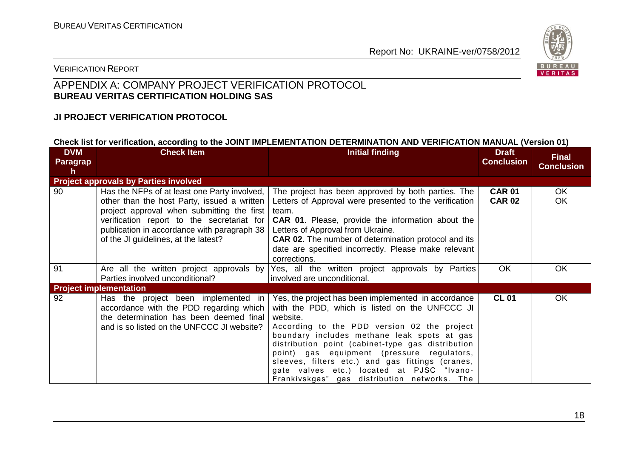

#### VERIFICATION REPORT

#### APPENDIX A: COMPANY PROJECT VERIFICATION PROTOCOL **BUREAU VERITAS CERTIFICATION HOLDING SAS**

#### **JI PROJECT VERIFICATION PROTOCOL**

#### **Check list for verification, according to the JOINT IMPLEMENTATION DETERMINATION AND VERIFICATION MANUAL (Version 01)**

| <b>DVM</b><br>Paragrap<br>h | <b>Check Item</b>                                                                                                                                                                                                                                                              | <b>Initial finding</b>                                                                                                                                                                                                                                                                                                                                                                                                                                              | <b>Draft</b><br><b>Conclusion</b> | <b>Final</b><br><b>Conclusion</b> |
|-----------------------------|--------------------------------------------------------------------------------------------------------------------------------------------------------------------------------------------------------------------------------------------------------------------------------|---------------------------------------------------------------------------------------------------------------------------------------------------------------------------------------------------------------------------------------------------------------------------------------------------------------------------------------------------------------------------------------------------------------------------------------------------------------------|-----------------------------------|-----------------------------------|
|                             | <b>Project approvals by Parties involved</b>                                                                                                                                                                                                                                   |                                                                                                                                                                                                                                                                                                                                                                                                                                                                     |                                   |                                   |
| 90                          | Has the NFPs of at least one Party involved,<br>other than the host Party, issued a written<br>project approval when submitting the first<br>verification report to the secretariat for<br>publication in accordance with paragraph 38<br>of the JI guidelines, at the latest? | The project has been approved by both parties. The<br>Letters of Approval were presented to the verification<br>team.<br><b>CAR 01.</b> Please, provide the information about the<br>Letters of Approval from Ukraine.<br><b>CAR 02.</b> The number of determination protocol and its<br>date are specified incorrectly. Please make relevant<br>corrections.                                                                                                       | <b>CAR 01</b><br><b>CAR 02</b>    | OK.<br>OK.                        |
| 91                          | Are all the written project approvals by<br>Parties involved unconditional?                                                                                                                                                                                                    | Yes, all the written project approvals by Parties<br>involved are unconditional.                                                                                                                                                                                                                                                                                                                                                                                    | <b>OK</b>                         | OK                                |
|                             | <b>Project implementation</b>                                                                                                                                                                                                                                                  |                                                                                                                                                                                                                                                                                                                                                                                                                                                                     |                                   |                                   |
| 92                          | Has the project been implemented in<br>accordance with the PDD regarding which<br>the determination has been deemed final<br>and is so listed on the UNFCCC JI website?                                                                                                        | Yes, the project has been implemented in accordance<br>with the PDD, which is listed on the UNFCCC JI<br>website.<br>According to the PDD version 02 the project<br>boundary includes methane leak spots at gas<br>distribution point (cabinet-type gas distribution<br>point) gas equipment (pressure regulators,<br>sleeves, filters etc.) and gas fittings (cranes,<br>gate valves etc.) located at PJSC "Ivano-<br>Frankivskgas" gas distribution networks. The | <b>CL 01</b>                      | OK.                               |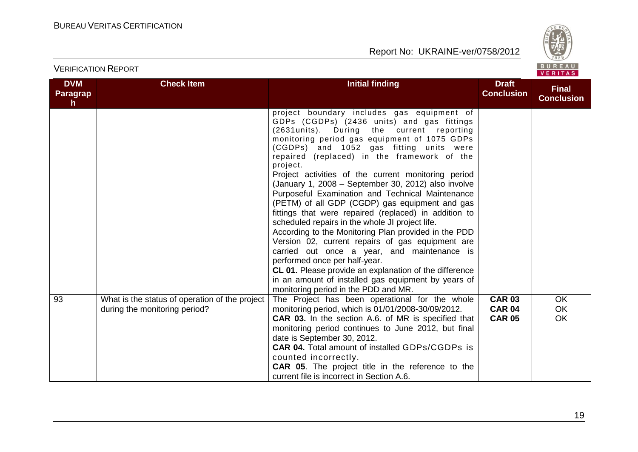

| <b>DVM</b><br>Paragrap<br>h | <b>Check Item</b>                                                               | <b>Initial finding</b>                                                                                                                                                                                                                                                                                                                                                                                                                                                                                                                                                                                                                                                                                                                                                                                                                                                                                                                                                           | <b>Draft</b><br><b>Conclusion</b>               | <b>Final</b><br><b>Conclusion</b>   |
|-----------------------------|---------------------------------------------------------------------------------|----------------------------------------------------------------------------------------------------------------------------------------------------------------------------------------------------------------------------------------------------------------------------------------------------------------------------------------------------------------------------------------------------------------------------------------------------------------------------------------------------------------------------------------------------------------------------------------------------------------------------------------------------------------------------------------------------------------------------------------------------------------------------------------------------------------------------------------------------------------------------------------------------------------------------------------------------------------------------------|-------------------------------------------------|-------------------------------------|
|                             |                                                                                 | project boundary includes gas equipment of<br>GDPs (CGDPs) (2436 units) and gas fittings<br>(2631units). During the current reporting<br>monitoring period gas equipment of 1075 GDPs<br>(CGDPs) and 1052 gas fitting units were<br>repaired (replaced) in the framework of the<br>project.<br>Project activities of the current monitoring period<br>(January 1, 2008 – September 30, 2012) also involve<br>Purposeful Examination and Technical Maintenance<br>(PETM) of all GDP (CGDP) gas equipment and gas<br>fittings that were repaired (replaced) in addition to<br>scheduled repairs in the whole JI project life.<br>According to the Monitoring Plan provided in the PDD<br>Version 02, current repairs of gas equipment are<br>carried out once a year, and maintenance is<br>performed once per half-year.<br>CL 01. Please provide an explanation of the difference<br>in an amount of installed gas equipment by years of<br>monitoring period in the PDD and MR. |                                                 |                                     |
| 93                          | What is the status of operation of the project<br>during the monitoring period? | The Project has been operational for the whole<br>monitoring period, which is 01/01/2008-30/09/2012.<br><b>CAR 03.</b> In the section A.6. of MR is specified that<br>monitoring period continues to June 2012, but final<br>date is September 30, 2012.<br><b>CAR 04.</b> Total amount of installed GDPs/CGDPs is<br>counted incorrectly.<br>CAR 05. The project title in the reference to the<br>current file is incorrect in Section A.6.                                                                                                                                                                                                                                                                                                                                                                                                                                                                                                                                     | <b>CAR 03</b><br><b>CAR 04</b><br><b>CAR 05</b> | <b>OK</b><br><b>OK</b><br><b>OK</b> |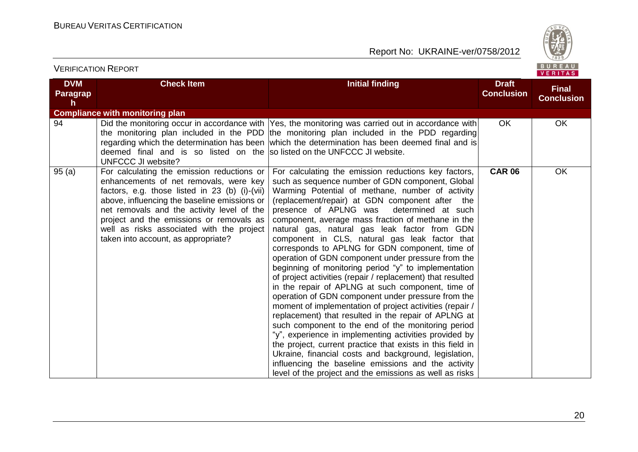

#### **DVM Paragrap h Check Item Initial finding Initial finding Draft Conclusion Final Conclusion Compliance with monitoring plan** 94 **Did the monitoring occur in accordance with** the monitoring plan included in the PDD the monitoring plan included in the PDD regarding regarding which the determination has been deemed final and is so listed on the UNFCCC JI website? Yes, the monitoring was carried out in accordance with which the determination has been deemed final and is so listed on the UNFCCC JI website. OK OK 95 (a) For calculating the emission reductions or enhancements of net removals, were key factors, e.g. those listed in 23 (b) (i)-(vii) above, influencing the baseline emissions or net removals and the activity level of the project and the emissions or removals as well as risks associated with the project taken into account, as appropriate? For calculating the emission reductions key factors, such as sequence number of GDN component, Global Warming Potential of methane, number of activity (replacement/repair) at GDN component after the presence of APLNG was determined at such component, average mass fraction of methane in the natural gas, natural gas leak factor from GDN component in CLS, natural gas leak factor that corresponds to APLNG for GDN component, time of operation of GDN component under pressure from the beginning of monitoring period "y" to implementation of project activities (repair / replacement) that resulted in the repair of APLNG at such component, time of operation of GDN component under pressure from the moment of implementation of project activities (repair / replacement) that resulted in the repair of APLNG at such component to the end of the monitoring period "y", experience in implementing activities provided by the project, current practice that exists in this field in Ukraine, financial costs and background, legislation, influencing the baseline emissions and the activity level of the project and the emissions as well as risks **CAR 06** OK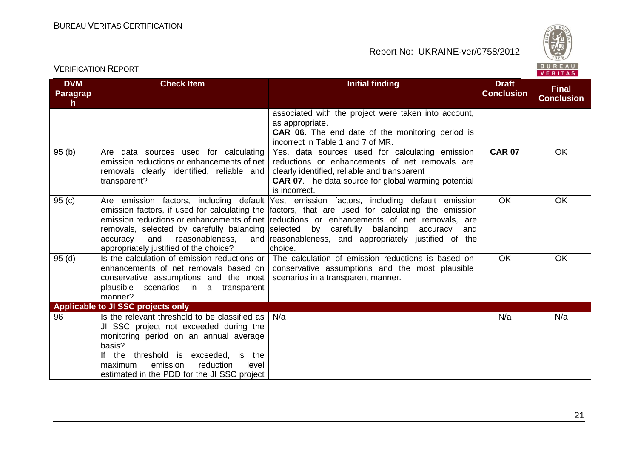

#### **DVM Paragrap h Check Item Initial finding Initial finding Draft Conclusion Final Conclusion** associated with the project were taken into account, as appropriate. **CAR 06**. The end date of the monitoring period is incorrect in Table 1 and 7 of MR. 95 (b) Are data sources used for calculating emission reductions or enhancements of net removals clearly identified, reliable and transparent? Yes, data sources used for calculating emission reductions or enhancements of net removals are clearly identified, reliable and transparent **CAR 07**. The data source for global warming potential is incorrect. **CAR 07** OK 95 (c) Are emission factors, including default emission factors, if used for calculating the |factors, that are used for calculating the emission| emission reductions or enhancements of net removals, selected by carefully balancing accuracy and reasonableness, appropriately justified of the choice? Yes, emission factors, including default emission reductions or enhancements of net removals, are selected by carefully balancing accuracy and and reasonableness, and appropriately justified of the choice. OK OK 95 (d) Is the calculation of emission reductions or enhancements of net removals based on conservative assumptions and the most plausible scenarios in a transparent manner? The calculation of emission reductions is based on conservative assumptions and the most plausible scenarios in a transparent manner. OK OK **Applicable to JI SSC projects only** 96 **Is the relevant threshold to be classified as** JI SSC project not exceeded during the monitoring period on an annual average basis? If the threshold is exceeded, is the maximum emission reduction level maximum emission reduction level estimated in the PDD for the JI SSC project N/a N/a N/a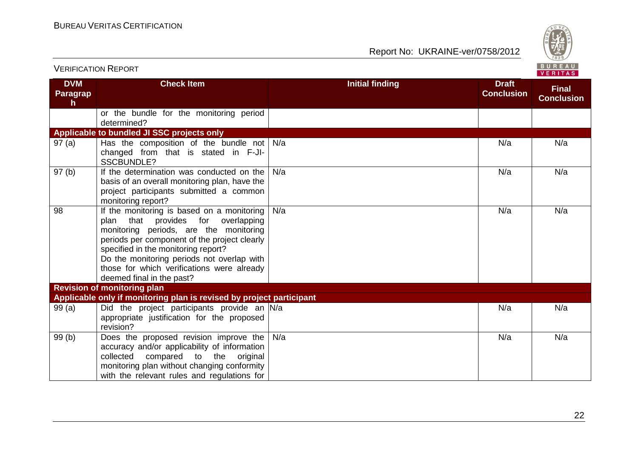

| <b>VERIFICATION REPORT</b>   |                                                                                                                                                                                                                                                                                                                                               |                        |                                   | BUREAU<br>VERITAS                 |
|------------------------------|-----------------------------------------------------------------------------------------------------------------------------------------------------------------------------------------------------------------------------------------------------------------------------------------------------------------------------------------------|------------------------|-----------------------------------|-----------------------------------|
| <b>DVM</b><br>Paragrap<br>h. | <b>Check Item</b>                                                                                                                                                                                                                                                                                                                             | <b>Initial finding</b> | <b>Draft</b><br><b>Conclusion</b> | <b>Final</b><br><b>Conclusion</b> |
|                              | or the bundle for the monitoring period<br>determined?                                                                                                                                                                                                                                                                                        |                        |                                   |                                   |
|                              | Applicable to bundled JI SSC projects only                                                                                                                                                                                                                                                                                                    |                        |                                   |                                   |
| 97(a)                        | Has the composition of the bundle not<br>changed from that is stated in F-JI-<br><b>SSCBUNDLE?</b>                                                                                                                                                                                                                                            | N/a                    | N/a                               | N/a                               |
| 97(b)                        | If the determination was conducted on the<br>basis of an overall monitoring plan, have the<br>project participants submitted a common<br>monitoring report?                                                                                                                                                                                   | N/a                    | N/a                               | N/a                               |
| 98                           | If the monitoring is based on a monitoring<br>that provides for overlapping<br>plan<br>monitoring periods, are the monitoring<br>periods per component of the project clearly<br>specified in the monitoring report?<br>Do the monitoring periods not overlap with<br>those for which verifications were already<br>deemed final in the past? | N/a                    | N/a                               | N/a                               |
|                              | <b>Revision of monitoring plan</b>                                                                                                                                                                                                                                                                                                            |                        |                                   |                                   |
| 99(a)                        | Applicable only if monitoring plan is revised by project participant<br>Did the project participants provide an N/a<br>appropriate justification for the proposed<br>revision?                                                                                                                                                                |                        | N/a                               | N/a                               |
| 99(b)                        | Does the proposed revision improve the<br>accuracy and/or applicability of information<br>collected<br>compared<br>to the<br>original<br>monitoring plan without changing conformity<br>with the relevant rules and regulations for                                                                                                           | N/a                    | N/a                               | N/a                               |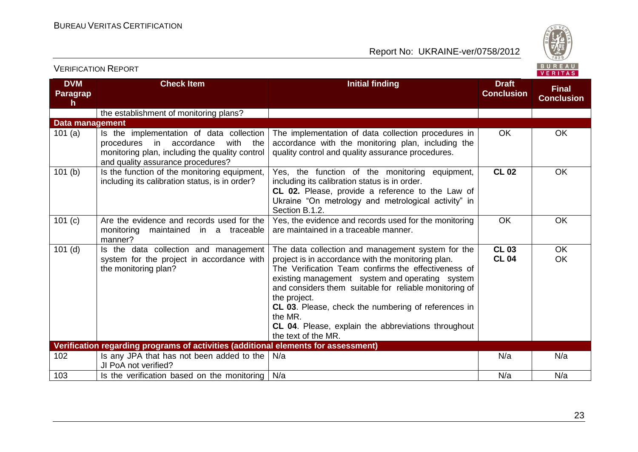VERIFICATION REPORT

Report No: UKRAINE-ver/0758/2012



**DVM Paragrap h Check Item Initial finding Initial finding Draft Conclusion Final Conclusion** the establishment of monitoring plans? **Data management** 101 (a) Is the implementation of data collection procedures in accordance with the monitoring plan, including the quality control and quality assurance procedures? The implementation of data collection procedures in accordance with the monitoring plan, including the quality control and quality assurance procedures. OK OK 101 (b)  $\vert$  Is the function of the monitoring equipment. including its calibration status, is in order? Yes, the function of the monitoring equipment, including its calibration status is in order. **CL 02.** Please, provide a reference to the Law of Ukraine "On metrology and metrological activity" in Section B.1.2. **CL 02** OK 101 (c) Are the evidence and records used for the monitoring maintained in a traceable manner? Yes, the evidence and records used for the monitoring are maintained in a traceable manner. OK OK 101 $(d)$  Is the data collection and management system for the project in accordance with the monitoring plan? The data collection and management system for the project is in accordance with the monitoring plan. The Verification Team confirms the effectiveness of existing management system and operating system and considers them suitable for reliable monitoring of the project. **CL 03**. Please, check the numbering of references in the MR. **CL 04**. Please, explain the abbreviations throughout the text of the MR. **CL 03 CL 04** OK OK **Verification regarding programs of activities (additional elements for assessment)** 102 Is any JPA that has not been added to the N/a JI PoA not verified? N/a N/a N/a 103 Is the verification based on the monitoring N/a N/a N/a

23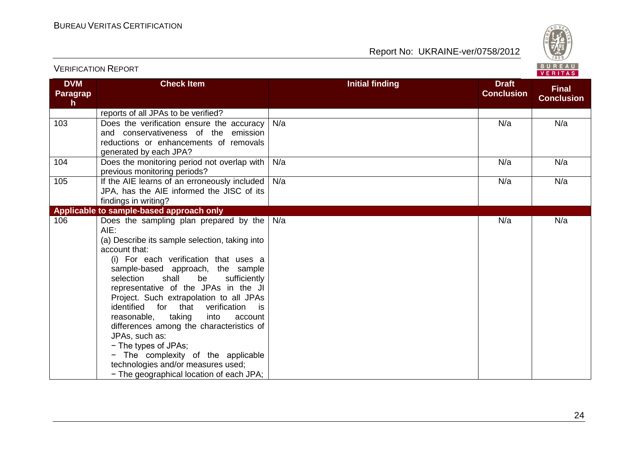

|                                               | $V$ Enimal                                                                                                                                                                                                                                                                                                                                                                                                                                                                                                                                                                                                                               |                        |                                   |                                   |  |  |
|-----------------------------------------------|------------------------------------------------------------------------------------------------------------------------------------------------------------------------------------------------------------------------------------------------------------------------------------------------------------------------------------------------------------------------------------------------------------------------------------------------------------------------------------------------------------------------------------------------------------------------------------------------------------------------------------------|------------------------|-----------------------------------|-----------------------------------|--|--|
| <b>DVM</b><br><b>Paragrap</b><br>$\mathsf{h}$ | <b>Check Item</b>                                                                                                                                                                                                                                                                                                                                                                                                                                                                                                                                                                                                                        | <b>Initial finding</b> | <b>Draft</b><br><b>Conclusion</b> | <b>Final</b><br><b>Conclusion</b> |  |  |
|                                               | reports of all JPAs to be verified?                                                                                                                                                                                                                                                                                                                                                                                                                                                                                                                                                                                                      |                        |                                   |                                   |  |  |
| 103                                           | Does the verification ensure the accuracy<br>and conservativeness of the emission<br>reductions or enhancements of removals<br>generated by each JPA?                                                                                                                                                                                                                                                                                                                                                                                                                                                                                    | N/a                    | N/a                               | N/a                               |  |  |
| 104                                           | Does the monitoring period not overlap with<br>previous monitoring periods?                                                                                                                                                                                                                                                                                                                                                                                                                                                                                                                                                              | N/a                    | N/a                               | N/a                               |  |  |
| 105                                           | If the AIE learns of an erroneously included<br>JPA, has the AIE informed the JISC of its<br>findings in writing?                                                                                                                                                                                                                                                                                                                                                                                                                                                                                                                        | N/a                    | N/a                               | N/a                               |  |  |
|                                               | Applicable to sample-based approach only                                                                                                                                                                                                                                                                                                                                                                                                                                                                                                                                                                                                 |                        |                                   |                                   |  |  |
| 106                                           | Does the sampling plan prepared by the<br>AIE:<br>(a) Describe its sample selection, taking into<br>account that:<br>(i) For each verification that uses a<br>sample-based approach, the sample<br>selection<br>shall<br>be<br>sufficiently<br>representative of the JPAs in the JI<br>Project. Such extrapolation to all JPAs<br>identified<br>for that<br>verification<br>is<br>taking<br>reasonable,<br>into<br>account<br>differences among the characteristics of<br>JPAs, such as:<br>- The types of JPAs;<br>- The complexity of the applicable<br>technologies and/or measures used;<br>- The geographical location of each JPA; | N/a                    | N/a                               | N/a                               |  |  |

VERIFICATION REPORT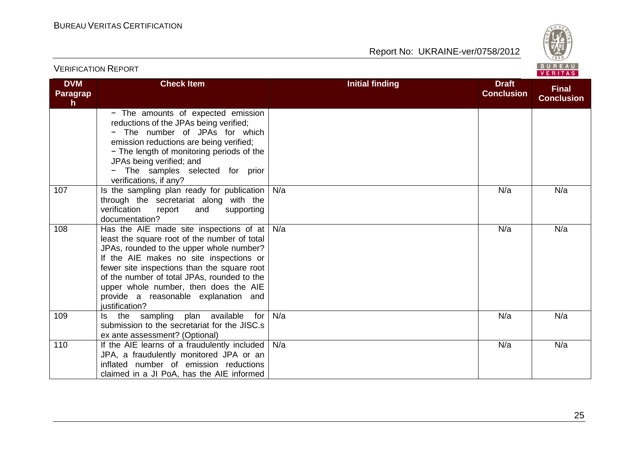

| <b>DVM</b><br><b>Paragrap</b><br>h | <b>Check Item</b>                                                                                                                                                                                                                                                                                                                                                               | <b>Initial finding</b> | <b>Draft</b><br><b>Conclusion</b> | <b>Final</b><br><b>Conclusion</b> |  |
|------------------------------------|---------------------------------------------------------------------------------------------------------------------------------------------------------------------------------------------------------------------------------------------------------------------------------------------------------------------------------------------------------------------------------|------------------------|-----------------------------------|-----------------------------------|--|
|                                    | - The amounts of expected emission<br>reductions of the JPAs being verified;<br>The number of JPAs for which<br>emission reductions are being verified;<br>- The length of monitoring periods of the<br>JPAs being verified; and<br>- The samples selected for prior<br>verifications, if any?                                                                                  |                        |                                   |                                   |  |
| 107                                | Is the sampling plan ready for publication<br>through the secretariat along with the<br>verification<br>report<br>and<br>supporting<br>documentation?                                                                                                                                                                                                                           | N/a                    | N/a                               | N/a                               |  |
| 108                                | Has the AIE made site inspections of at<br>least the square root of the number of total<br>JPAs, rounded to the upper whole number?<br>If the AIE makes no site inspections or<br>fewer site inspections than the square root<br>of the number of total JPAs, rounded to the<br>upper whole number, then does the AIE<br>provide a reasonable explanation and<br>justification? | N/a                    | N/a                               | N/a                               |  |
| 109                                | sampling plan available<br>for<br>the<br>ls.<br>submission to the secretariat for the JISC.s<br>ex ante assessment? (Optional)                                                                                                                                                                                                                                                  | N/a                    | N/a                               | N/a                               |  |
| 110                                | If the AIE learns of a fraudulently included<br>JPA, a fraudulently monitored JPA or an<br>inflated number of emission reductions<br>claimed in a JI PoA, has the AIE informed                                                                                                                                                                                                  | N/a                    | N/a                               | N/a                               |  |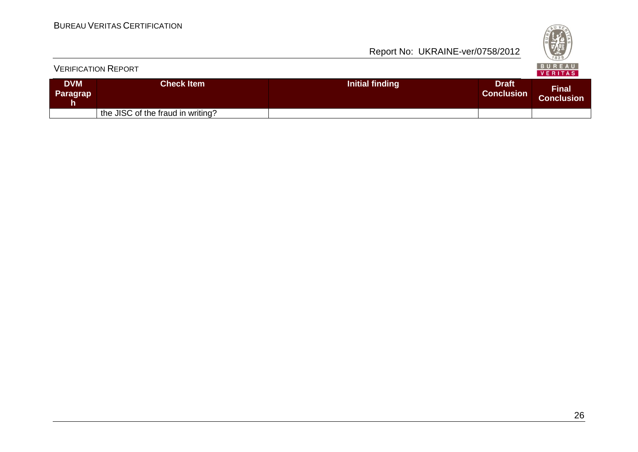|                               | <b>VERIFICATION REPORT</b>        |                 |                                   | <b>BUREAU</b><br>VERITAS   |
|-------------------------------|-----------------------------------|-----------------|-----------------------------------|----------------------------|
| <b>DVM</b><br><b>Paragrap</b> | Check Item                        | Initial finding | <b>Draft</b><br><b>Conclusion</b> | <b>Final</b><br>Conclusion |
|                               | the JISC of the fraud in writing? |                 |                                   |                            |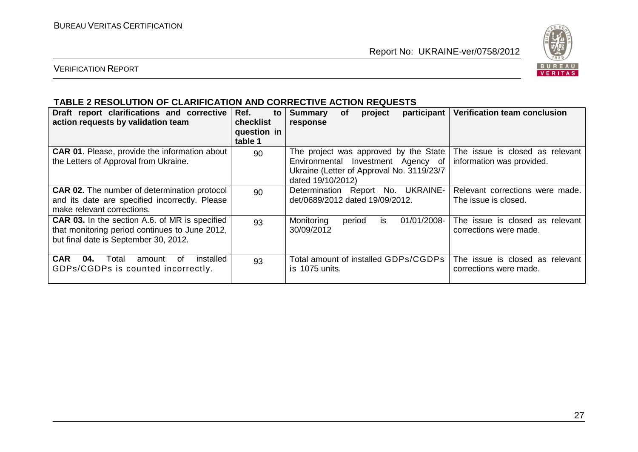

#### VERIFICATION REPORT

#### **TABLE 2 RESOLUTION OF CLARIFICATION AND CORRECTIVE ACTION REQUESTS**

| Draft report clarifications and corrective<br>action requests by validation team                                                                 | Ref.<br>to<br><b>checklist</b><br>question in<br>table 1 | participant<br><b>Summary</b><br>project<br>οf<br>response                                                                                    | Verification team conclusion                                 |
|--------------------------------------------------------------------------------------------------------------------------------------------------|----------------------------------------------------------|-----------------------------------------------------------------------------------------------------------------------------------------------|--------------------------------------------------------------|
| <b>CAR 01.</b> Please, provide the information about<br>the Letters of Approval from Ukraine.                                                    | 90                                                       | The project was approved by the State<br>Environmental Investment Agency of<br>Ukraine (Letter of Approval No. 3119/23/7<br>dated 19/10/2012) | The issue is closed as relevant<br>information was provided. |
| <b>CAR 02.</b> The number of determination protocol<br>and its date are specified incorrectly. Please<br>make relevant corrections.              | 90                                                       | Determination Report No. UKRAINE-<br>det/0689/2012 dated 19/09/2012.                                                                          | Relevant corrections were made.<br>The issue is closed.      |
| <b>CAR 03.</b> In the section A.6. of MR is specified<br>that monitoring period continues to June 2012,<br>but final date is September 30, 2012. | 93                                                       | Monitoring<br>01/01/2008-<br>period<br>is.<br>30/09/2012                                                                                      | The issue is closed as relevant<br>corrections were made.    |
| <b>CAR</b><br>installed<br>04.<br>Total<br>amount<br>. of<br>GDPs/CGDPs is counted incorrectly.                                                  | 93                                                       | Total amount of installed GDPs/CGDPs<br>is 1075 units.                                                                                        | The issue is closed as relevant<br>corrections were made.    |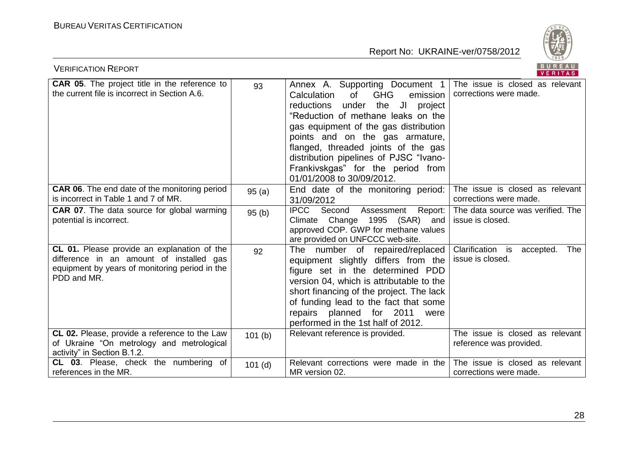

| <b>VERIFICATION REPORT</b>                                                                                                                               | BUREAU<br>VERITAS |                                                                                                                                                                                                                                                                                                                                                                                             |                                                                 |
|----------------------------------------------------------------------------------------------------------------------------------------------------------|-------------------|---------------------------------------------------------------------------------------------------------------------------------------------------------------------------------------------------------------------------------------------------------------------------------------------------------------------------------------------------------------------------------------------|-----------------------------------------------------------------|
| <b>CAR 05.</b> The project title in the reference to<br>the current file is incorrect in Section A.6.                                                    | 93                | Annex A. Supporting Document 1<br><b>GHG</b><br>Calculation<br>of<br>emission<br>under the JI<br>reductions<br>project<br>"Reduction of methane leaks on the<br>gas equipment of the gas distribution<br>points and on the gas armature,<br>flanged, threaded joints of the gas<br>distribution pipelines of PJSC "Ivano-<br>Frankivskgas" for the period from<br>01/01/2008 to 30/09/2012. | The issue is closed as relevant<br>corrections were made.       |
| <b>CAR 06.</b> The end date of the monitoring period<br>is incorrect in Table 1 and 7 of MR.                                                             | 95(a)             | End date of the monitoring period:<br>31/09/2012                                                                                                                                                                                                                                                                                                                                            | The issue is closed as relevant<br>corrections were made.       |
| <b>CAR 07.</b> The data source for global warming<br>potential is incorrect.                                                                             | 95(b)             | IPCC Second<br>Report:<br>Assessment<br>Climate Change 1995 (SAR) and<br>approved COP. GWP for methane values<br>are provided on UNFCCC web-site.                                                                                                                                                                                                                                           | The data source was verified. The<br>issue is closed.           |
| CL 01. Please provide an explanation of the<br>difference in an amount of installed gas<br>equipment by years of monitoring period in the<br>PDD and MR. | 92                | number of repaired/replaced<br>The<br>equipment slightly differs from the<br>figure set in the determined PDD<br>version 04, which is attributable to the<br>short financing of the project. The lack<br>of funding lead to the fact that some<br>repairs planned for 2011<br>were<br>performed in the 1st half of 2012.                                                                    | Clarification is<br><b>The</b><br>accepted.<br>issue is closed. |
| CL 02. Please, provide a reference to the Law<br>of Ukraine "On metrology and metrological<br>activity" in Section B.1.2.                                | 101(b)            | Relevant reference is provided.                                                                                                                                                                                                                                                                                                                                                             | The issue is closed as relevant<br>reference was provided.      |
| CL 03. Please, check the numbering of<br>references in the MR.                                                                                           | $101$ (d)         | Relevant corrections were made in the<br>MR version 02.                                                                                                                                                                                                                                                                                                                                     | The issue is closed as relevant<br>corrections were made.       |